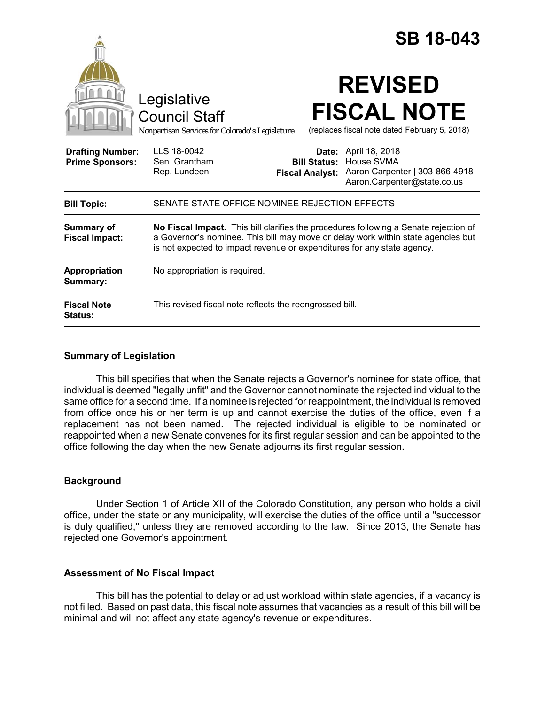|                                                   |                                                                                                                                                                                                                                                     |                                                         | <b>SB 18-043</b>                                                                              |
|---------------------------------------------------|-----------------------------------------------------------------------------------------------------------------------------------------------------------------------------------------------------------------------------------------------------|---------------------------------------------------------|-----------------------------------------------------------------------------------------------|
|                                                   | Legislative<br><b>Council Staff</b><br>Nonpartisan Services for Colorado's Legislature                                                                                                                                                              |                                                         | <b>REVISED</b><br><b>FISCAL NOTE</b><br>(replaces fiscal note dated February 5, 2018)         |
| <b>Drafting Number:</b><br><b>Prime Sponsors:</b> | LLS 18-0042<br>Sen. Grantham<br>Rep. Lundeen                                                                                                                                                                                                        | Date:<br><b>Bill Status:</b><br><b>Fiscal Analyst:</b>  | April 18, 2018<br>House SVMA<br>Aaron Carpenter   303-866-4918<br>Aaron.Carpenter@state.co.us |
| <b>Bill Topic:</b>                                | SENATE STATE OFFICE NOMINEE REJECTION EFFECTS                                                                                                                                                                                                       |                                                         |                                                                                               |
| Summary of<br><b>Fiscal Impact:</b>               | No Fiscal Impact. This bill clarifies the procedures following a Senate rejection of<br>a Governor's nominee. This bill may move or delay work within state agencies but<br>is not expected to impact revenue or expenditures for any state agency. |                                                         |                                                                                               |
| Appropriation<br>Summary:                         | No appropriation is required.                                                                                                                                                                                                                       |                                                         |                                                                                               |
| <b>Fiscal Note</b><br><b>Status:</b>              |                                                                                                                                                                                                                                                     | This revised fiscal note reflects the reengrossed bill. |                                                                                               |

## **Summary of Legislation**

This bill specifies that when the Senate rejects a Governor's nominee for state office, that individual is deemed "legally unfit" and the Governor cannot nominate the rejected individual to the same office for a second time. If a nominee is rejected for reappointment, the individual is removed from office once his or her term is up and cannot exercise the duties of the office, even if a replacement has not been named. The rejected individual is eligible to be nominated or reappointed when a new Senate convenes for its first regular session and can be appointed to the office following the day when the new Senate adjourns its first regular session.

#### **Background**

Under Section 1 of Article XII of the Colorado Constitution, any person who holds a civil office, under the state or any municipality, will exercise the duties of the office until a "successor is duly qualified," unless they are removed according to the law. Since 2013, the Senate has rejected one Governor's appointment.

# **Assessment of No Fiscal Impact**

This bill has the potential to delay or adjust workload within state agencies, if a vacancy is not filled. Based on past data, this fiscal note assumes that vacancies as a result of this bill will be minimal and will not affect any state agency's revenue or expenditures.